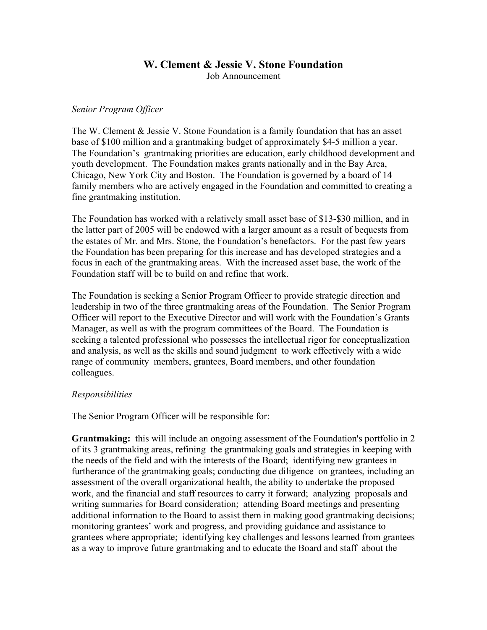#### **W. Clement & Jessie V. Stone Foundation** Job Announcement

#### *Senior Program Officer*

The W. Clement & Jessie V. Stone Foundation is a family foundation that has an asset base of \$100 million and a grantmaking budget of approximately \$4-5 million a year. The Foundation's grantmaking priorities are education, early childhood development and youth development. The Foundation makes grants nationally and in the Bay Area, Chicago, New York City and Boston. The Foundation is governed by a board of 14 family members who are actively engaged in the Foundation and committed to creating a fine grantmaking institution.

The Foundation has worked with a relatively small asset base of \$13-\$30 million, and in the latter part of 2005 will be endowed with a larger amount as a result of bequests from the estates of Mr. and Mrs. Stone, the Foundation's benefactors. For the past few years the Foundation has been preparing for this increase and has developed strategies and a focus in each of the grantmaking areas. With the increased asset base, the work of the Foundation staff will be to build on and refine that work.

The Foundation is seeking a Senior Program Officer to provide strategic direction and leadership in two of the three grantmaking areas of the Foundation. The Senior Program Officer will report to the Executive Director and will work with the Foundation's Grants Manager, as well as with the program committees of the Board. The Foundation is seeking a talented professional who possesses the intellectual rigor for conceptualization and analysis, as well as the skills and sound judgment to work effectively with a wide range of community members, grantees, Board members, and other foundation colleagues.

## *Responsibilities*

The Senior Program Officer will be responsible for:

**Grantmaking:** this will include an ongoing assessment of the Foundation's portfolio in 2 of its 3 grantmaking areas, refining the grantmaking goals and strategies in keeping with the needs of the field and with the interests of the Board; identifying new grantees in furtherance of the grantmaking goals; conducting due diligence on grantees, including an assessment of the overall organizational health, the ability to undertake the proposed work, and the financial and staff resources to carry it forward; analyzing proposals and writing summaries for Board consideration; attending Board meetings and presenting additional information to the Board to assist them in making good grantmaking decisions; monitoring grantees' work and progress, and providing guidance and assistance to grantees where appropriate; identifying key challenges and lessons learned from grantees as a way to improve future grantmaking and to educate the Board and staff about the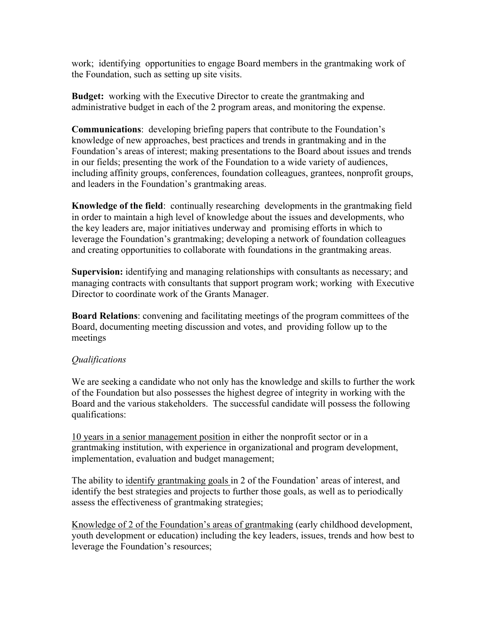work; identifying opportunities to engage Board members in the grantmaking work of the Foundation, such as setting up site visits.

**Budget:** working with the Executive Director to create the grantmaking and administrative budget in each of the 2 program areas, and monitoring the expense.

**Communications**: developing briefing papers that contribute to the Foundation's knowledge of new approaches, best practices and trends in grantmaking and in the Foundation's areas of interest; making presentations to the Board about issues and trends in our fields; presenting the work of the Foundation to a wide variety of audiences, including affinity groups, conferences, foundation colleagues, grantees, nonprofit groups, and leaders in the Foundation's grantmaking areas.

**Knowledge of the field**: continually researching developments in the grantmaking field in order to maintain a high level of knowledge about the issues and developments, who the key leaders are, major initiatives underway and promising efforts in which to leverage the Foundation's grantmaking; developing a network of foundation colleagues and creating opportunities to collaborate with foundations in the grantmaking areas.

**Supervision:** identifying and managing relationships with consultants as necessary; and managing contracts with consultants that support program work; working with Executive Director to coordinate work of the Grants Manager.

**Board Relations**: convening and facilitating meetings of the program committees of the Board, documenting meeting discussion and votes, and providing follow up to the meetings

## *Qualifications*

We are seeking a candidate who not only has the knowledge and skills to further the work of the Foundation but also possesses the highest degree of integrity in working with the Board and the various stakeholders. The successful candidate will possess the following qualifications:

10 years in a senior management position in either the nonprofit sector or in a grantmaking institution, with experience in organizational and program development, implementation, evaluation and budget management;

The ability to identify grantmaking goals in 2 of the Foundation' areas of interest, and identify the best strategies and projects to further those goals, as well as to periodically assess the effectiveness of grantmaking strategies;

Knowledge of 2 of the Foundation's areas of grantmaking (early childhood development, youth development or education) including the key leaders, issues, trends and how best to leverage the Foundation's resources;